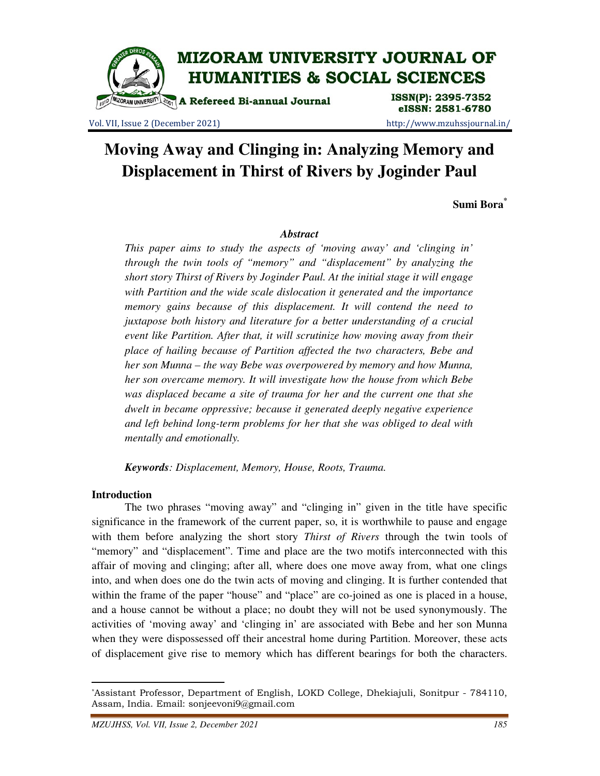

Vol. VII, Issue 2 (December 2021) http://www.mzuhssjournal.in/

# **Moving Away and Clinging in: Analyzing Memory and Displacement in Thirst of Rivers by Joginder Paul**

**Sumi Bora\***

## *Abstract*

*This paper aims to study the aspects of 'moving away' and 'clinging in' through the twin tools of "memory" and "displacement" by analyzing the short story Thirst of Rivers by Joginder Paul. At the initial stage it will engage with Partition and the wide scale dislocation it generated and the importance memory gains because of this displacement. It will contend the need to juxtapose both history and literature for a better understanding of a crucial event like Partition. After that, it will scrutinize how moving away from their place of hailing because of Partition affected the two characters, Bebe and her son Munna – the way Bebe was overpowered by memory and how Munna, her son overcame memory. It will investigate how the house from which Bebe was displaced became a site of trauma for her and the current one that she dwelt in became oppressive; because it generated deeply negative experience and left behind long-term problems for her that she was obliged to deal with mentally and emotionally.* 

*Keywords: Displacement, Memory, House, Roots, Trauma.* 

## **Introduction**

 $\overline{a}$ 

 The two phrases "moving away" and "clinging in" given in the title have specific significance in the framework of the current paper, so, it is worthwhile to pause and engage with them before analyzing the short story *Thirst of Rivers* through the twin tools of "memory" and "displacement". Time and place are the two motifs interconnected with this affair of moving and clinging; after all, where does one move away from, what one clings into, and when does one do the twin acts of moving and clinging. It is further contended that within the frame of the paper "house" and "place" are co-joined as one is placed in a house, and a house cannot be without a place; no doubt they will not be used synonymously. The activities of 'moving away' and 'clinging in' are associated with Bebe and her son Munna when they were dispossessed off their ancestral home during Partition. Moreover, these acts of displacement give rise to memory which has different bearings for both the characters.

<sup>\*</sup>Assistant Professor, Department of English, LOKD College, Dhekiajuli, Sonitpur - 784110, Assam, India. Email: sonjeevoni9@gmail.com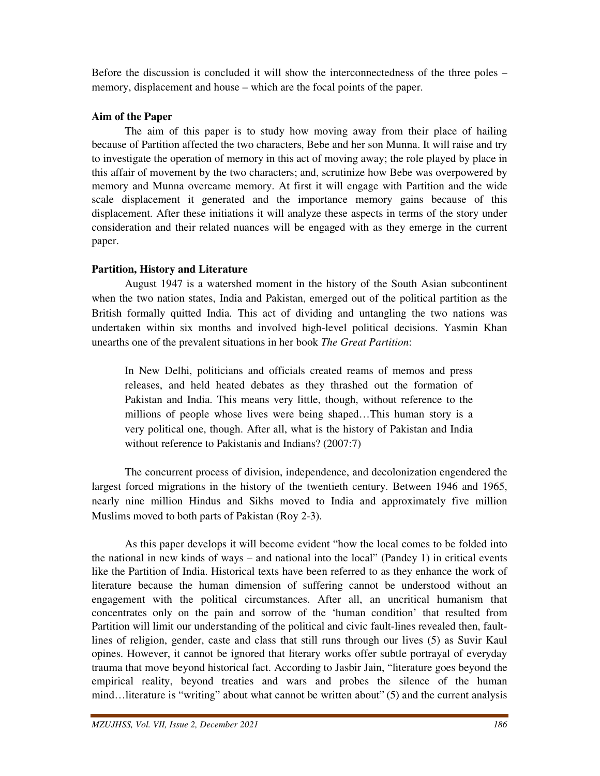Before the discussion is concluded it will show the interconnectedness of the three poles – memory, displacement and house – which are the focal points of the paper.

# **Aim of the Paper**

 The aim of this paper is to study how moving away from their place of hailing because of Partition affected the two characters, Bebe and her son Munna. It will raise and try to investigate the operation of memory in this act of moving away; the role played by place in this affair of movement by the two characters; and, scrutinize how Bebe was overpowered by memory and Munna overcame memory. At first it will engage with Partition and the wide scale displacement it generated and the importance memory gains because of this displacement. After these initiations it will analyze these aspects in terms of the story under consideration and their related nuances will be engaged with as they emerge in the current paper.

# **Partition, History and Literature**

 August 1947 is a watershed moment in the history of the South Asian subcontinent when the two nation states, India and Pakistan, emerged out of the political partition as the British formally quitted India. This act of dividing and untangling the two nations was undertaken within six months and involved high-level political decisions. Yasmin Khan unearths one of the prevalent situations in her book *The Great Partition*:

In New Delhi, politicians and officials created reams of memos and press releases, and held heated debates as they thrashed out the formation of Pakistan and India. This means very little, though, without reference to the millions of people whose lives were being shaped…This human story is a very political one, though. After all, what is the history of Pakistan and India without reference to Pakistanis and Indians? (2007:7)

 The concurrent process of division, independence, and decolonization engendered the largest forced migrations in the history of the twentieth century. Between 1946 and 1965, nearly nine million Hindus and Sikhs moved to India and approximately five million Muslims moved to both parts of Pakistan (Roy 2-3).

 As this paper develops it will become evident "how the local comes to be folded into the national in new kinds of ways – and national into the local" (Pandey 1) in critical events like the Partition of India. Historical texts have been referred to as they enhance the work of literature because the human dimension of suffering cannot be understood without an engagement with the political circumstances. After all, an uncritical humanism that concentrates only on the pain and sorrow of the 'human condition' that resulted from Partition will limit our understanding of the political and civic fault-lines revealed then, faultlines of religion, gender, caste and class that still runs through our lives (5) as Suvir Kaul opines. However, it cannot be ignored that literary works offer subtle portrayal of everyday trauma that move beyond historical fact. According to Jasbir Jain, "literature goes beyond the empirical reality, beyond treaties and wars and probes the silence of the human mind…literature is "writing" about what cannot be written about" (5) and the current analysis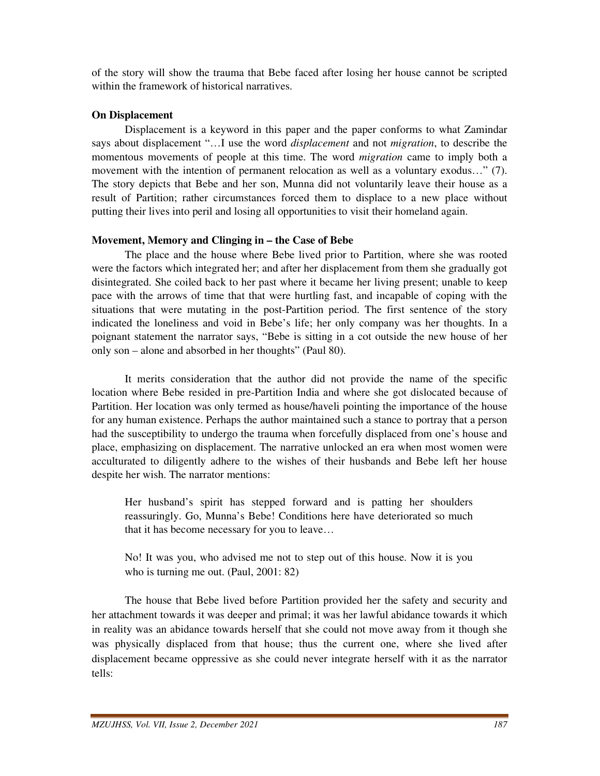of the story will show the trauma that Bebe faced after losing her house cannot be scripted within the framework of historical narratives.

## **On Displacement**

 Displacement is a keyword in this paper and the paper conforms to what Zamindar says about displacement "…I use the word *displacement* and not *migration*, to describe the momentous movements of people at this time. The word *migration* came to imply both a movement with the intention of permanent relocation as well as a voluntary exodus…" (7). The story depicts that Bebe and her son, Munna did not voluntarily leave their house as a result of Partition; rather circumstances forced them to displace to a new place without putting their lives into peril and losing all opportunities to visit their homeland again.

## **Movement, Memory and Clinging in – the Case of Bebe**

 The place and the house where Bebe lived prior to Partition, where she was rooted were the factors which integrated her; and after her displacement from them she gradually got disintegrated. She coiled back to her past where it became her living present; unable to keep pace with the arrows of time that that were hurtling fast, and incapable of coping with the situations that were mutating in the post-Partition period. The first sentence of the story indicated the loneliness and void in Bebe's life; her only company was her thoughts. In a poignant statement the narrator says, "Bebe is sitting in a cot outside the new house of her only son – alone and absorbed in her thoughts" (Paul 80).

 It merits consideration that the author did not provide the name of the specific location where Bebe resided in pre-Partition India and where she got dislocated because of Partition. Her location was only termed as house/haveli pointing the importance of the house for any human existence. Perhaps the author maintained such a stance to portray that a person had the susceptibility to undergo the trauma when forcefully displaced from one's house and place, emphasizing on displacement. The narrative unlocked an era when most women were acculturated to diligently adhere to the wishes of their husbands and Bebe left her house despite her wish. The narrator mentions:

Her husband's spirit has stepped forward and is patting her shoulders reassuringly. Go, Munna's Bebe! Conditions here have deteriorated so much that it has become necessary for you to leave…

No! It was you, who advised me not to step out of this house. Now it is you who is turning me out. (Paul, 2001: 82)

 The house that Bebe lived before Partition provided her the safety and security and her attachment towards it was deeper and primal; it was her lawful abidance towards it which in reality was an abidance towards herself that she could not move away from it though she was physically displaced from that house; thus the current one, where she lived after displacement became oppressive as she could never integrate herself with it as the narrator tells: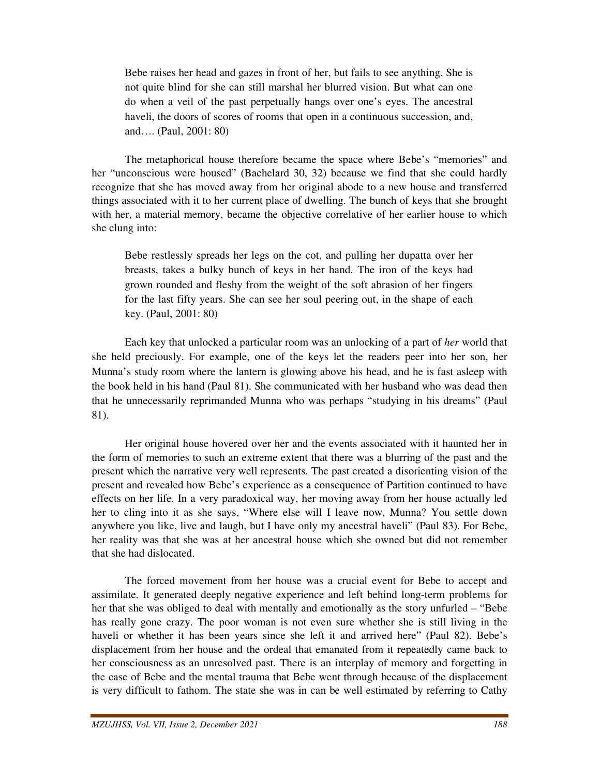Bebe raises her head and gazes in front of her, but fails to see anything. She is not quite blind for she can still marshal her blurred vision. But what can one do when a veil of the past perpetually hangs over one's eyes. The ancestral haveli, the doors of scores of rooms that open in a continuous succession, and, and…. (Paul, 2001: 80)

 The metaphorical house therefore became the space where Bebe's "memories" and her "unconscious were housed" (Bachelard 30, 32) because we find that she could hardly recognize that she has moved away from her original abode to a new house and transferred things associated with it to her current place of dwelling. The bunch of keys that she brought with her, a material memory, became the objective correlative of her earlier house to which she clung into:

Bebe restlessly spreads her legs on the cot, and pulling her dupatta over her breasts, takes a bulky bunch of keys in her hand. The iron of the keys had grown rounded and fleshy from the weight of the soft abrasion of her fingers for the last fifty years. She can see her soul peering out, in the shape of each key. (Paul, 2001: 80)

 Each key that unlocked a particular room was an unlocking of a part of *her* world that she held preciously. For example, one of the keys let the readers peer into her son, her Munna's study room where the lantern is glowing above his head, and he is fast asleep with the book held in his hand (Paul 81). She communicated with her husband who was dead then that he unnecessarily reprimanded Munna who was perhaps "studying in his dreams" (Paul 81).

 Her original house hovered over her and the events associated with it haunted her in the form of memories to such an extreme extent that there was a blurring of the past and the present which the narrative very well represents. The past created a disorienting vision of the present and revealed how Bebe's experience as a consequence of Partition continued to have effects on her life. In a very paradoxical way, her moving away from her house actually led her to cling into it as she says, "Where else will I leave now, Munna? You settle down anywhere you like, live and laugh, but I have only my ancestral haveli" (Paul 83). For Bebe, her reality was that she was at her ancestral house which she owned but did not remember that she had dislocated.

 The forced movement from her house was a crucial event for Bebe to accept and assimilate. It generated deeply negative experience and left behind long-term problems for her that she was obliged to deal with mentally and emotionally as the story unfurled – "Bebe has really gone crazy. The poor woman is not even sure whether she is still living in the haveli or whether it has been years since she left it and arrived here" (Paul 82). Bebe's displacement from her house and the ordeal that emanated from it repeatedly came back to her consciousness as an unresolved past. There is an interplay of memory and forgetting in the case of Bebe and the mental trauma that Bebe went through because of the displacement is very difficult to fathom. The state she was in can be well estimated by referring to Cathy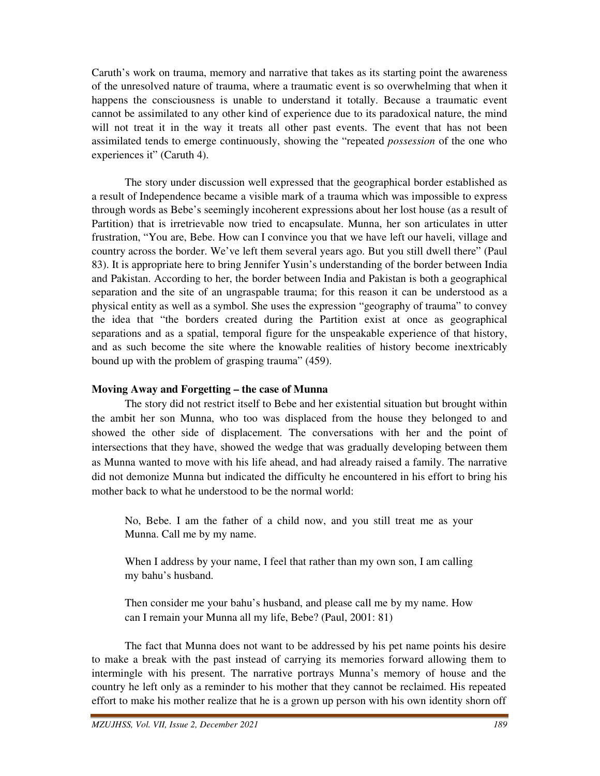Caruth's work on trauma, memory and narrative that takes as its starting point the awareness of the unresolved nature of trauma, where a traumatic event is so overwhelming that when it happens the consciousness is unable to understand it totally. Because a traumatic event cannot be assimilated to any other kind of experience due to its paradoxical nature, the mind will not treat it in the way it treats all other past events. The event that has not been assimilated tends to emerge continuously, showing the "repeated *possession* of the one who experiences it" (Caruth 4).

 The story under discussion well expressed that the geographical border established as a result of Independence became a visible mark of a trauma which was impossible to express through words as Bebe's seemingly incoherent expressions about her lost house (as a result of Partition) that is irretrievable now tried to encapsulate. Munna, her son articulates in utter frustration, "You are, Bebe. How can I convince you that we have left our haveli, village and country across the border. We've left them several years ago. But you still dwell there" (Paul 83). It is appropriate here to bring Jennifer Yusin's understanding of the border between India and Pakistan. According to her, the border between India and Pakistan is both a geographical separation and the site of an ungraspable trauma; for this reason it can be understood as a physical entity as well as a symbol. She uses the expression "geography of trauma" to convey the idea that "the borders created during the Partition exist at once as geographical separations and as a spatial, temporal figure for the unspeakable experience of that history, and as such become the site where the knowable realities of history become inextricably bound up with the problem of grasping trauma" (459).

#### **Moving Away and Forgetting – the case of Munna**

 The story did not restrict itself to Bebe and her existential situation but brought within the ambit her son Munna, who too was displaced from the house they belonged to and showed the other side of displacement. The conversations with her and the point of intersections that they have, showed the wedge that was gradually developing between them as Munna wanted to move with his life ahead, and had already raised a family. The narrative did not demonize Munna but indicated the difficulty he encountered in his effort to bring his mother back to what he understood to be the normal world:

No, Bebe. I am the father of a child now, and you still treat me as your Munna. Call me by my name.

When I address by your name, I feel that rather than my own son, I am calling my bahu's husband.

Then consider me your bahu's husband, and please call me by my name. How can I remain your Munna all my life, Bebe? (Paul, 2001: 81)

 The fact that Munna does not want to be addressed by his pet name points his desire to make a break with the past instead of carrying its memories forward allowing them to intermingle with his present. The narrative portrays Munna's memory of house and the country he left only as a reminder to his mother that they cannot be reclaimed. His repeated effort to make his mother realize that he is a grown up person with his own identity shorn off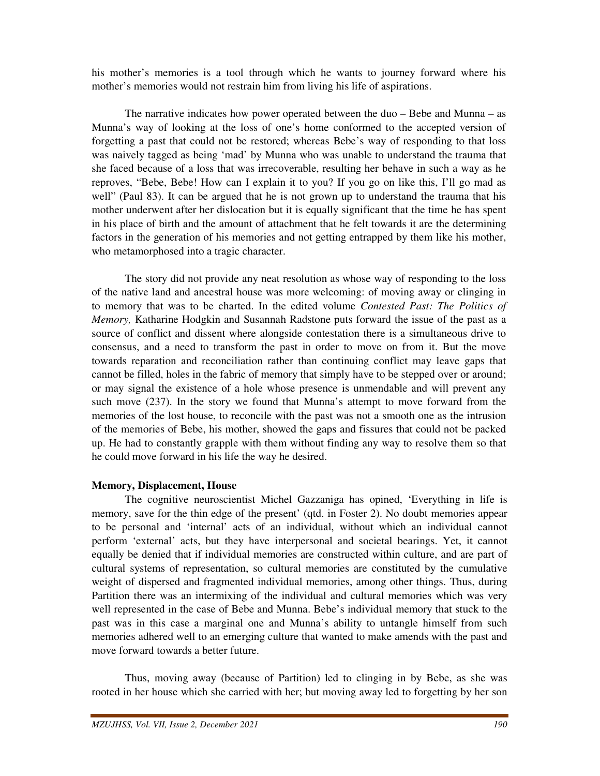his mother's memories is a tool through which he wants to journey forward where his mother's memories would not restrain him from living his life of aspirations.

 The narrative indicates how power operated between the duo – Bebe and Munna – as Munna's way of looking at the loss of one's home conformed to the accepted version of forgetting a past that could not be restored; whereas Bebe's way of responding to that loss was naively tagged as being 'mad' by Munna who was unable to understand the trauma that she faced because of a loss that was irrecoverable, resulting her behave in such a way as he reproves, "Bebe, Bebe! How can I explain it to you? If you go on like this, I'll go mad as well" (Paul 83). It can be argued that he is not grown up to understand the trauma that his mother underwent after her dislocation but it is equally significant that the time he has spent in his place of birth and the amount of attachment that he felt towards it are the determining factors in the generation of his memories and not getting entrapped by them like his mother, who metamorphosed into a tragic character.

 The story did not provide any neat resolution as whose way of responding to the loss of the native land and ancestral house was more welcoming: of moving away or clinging in to memory that was to be charted. In the edited volume *Contested Past: The Politics of Memory,* Katharine Hodgkin and Susannah Radstone puts forward the issue of the past as a source of conflict and dissent where alongside contestation there is a simultaneous drive to consensus, and a need to transform the past in order to move on from it. But the move towards reparation and reconciliation rather than continuing conflict may leave gaps that cannot be filled, holes in the fabric of memory that simply have to be stepped over or around; or may signal the existence of a hole whose presence is unmendable and will prevent any such move (237). In the story we found that Munna's attempt to move forward from the memories of the lost house, to reconcile with the past was not a smooth one as the intrusion of the memories of Bebe, his mother, showed the gaps and fissures that could not be packed up. He had to constantly grapple with them without finding any way to resolve them so that he could move forward in his life the way he desired.

#### **Memory, Displacement, House**

 The cognitive neuroscientist Michel Gazzaniga has opined, 'Everything in life is memory, save for the thin edge of the present' (qtd. in Foster 2). No doubt memories appear to be personal and 'internal' acts of an individual, without which an individual cannot perform 'external' acts, but they have interpersonal and societal bearings. Yet, it cannot equally be denied that if individual memories are constructed within culture, and are part of cultural systems of representation, so cultural memories are constituted by the cumulative weight of dispersed and fragmented individual memories, among other things. Thus, during Partition there was an intermixing of the individual and cultural memories which was very well represented in the case of Bebe and Munna. Bebe's individual memory that stuck to the past was in this case a marginal one and Munna's ability to untangle himself from such memories adhered well to an emerging culture that wanted to make amends with the past and move forward towards a better future.

 Thus, moving away (because of Partition) led to clinging in by Bebe, as she was rooted in her house which she carried with her; but moving away led to forgetting by her son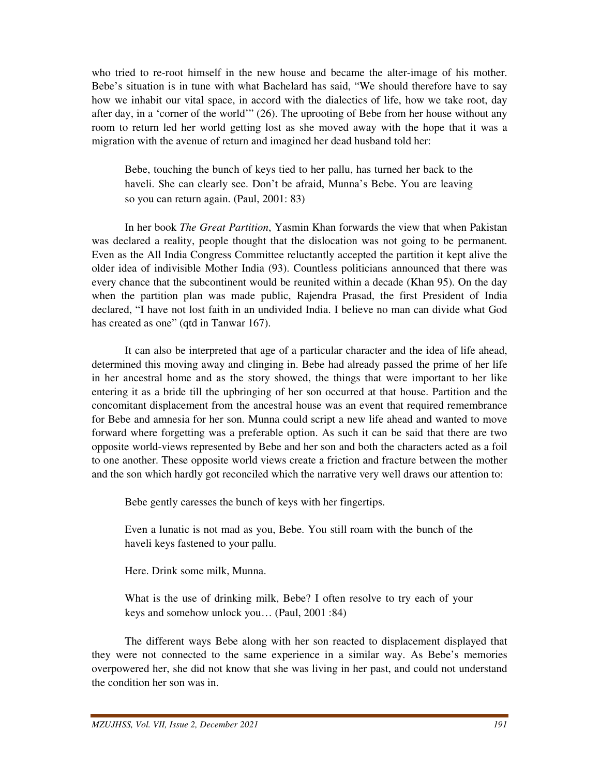who tried to re-root himself in the new house and became the alter-image of his mother. Bebe's situation is in tune with what Bachelard has said, "We should therefore have to say how we inhabit our vital space, in accord with the dialectics of life, how we take root, day after day, in a 'corner of the world'" (26). The uprooting of Bebe from her house without any room to return led her world getting lost as she moved away with the hope that it was a migration with the avenue of return and imagined her dead husband told her:

Bebe, touching the bunch of keys tied to her pallu, has turned her back to the haveli. She can clearly see. Don't be afraid, Munna's Bebe. You are leaving so you can return again. (Paul, 2001: 83)

 In her book *The Great Partition*, Yasmin Khan forwards the view that when Pakistan was declared a reality, people thought that the dislocation was not going to be permanent. Even as the All India Congress Committee reluctantly accepted the partition it kept alive the older idea of indivisible Mother India (93). Countless politicians announced that there was every chance that the subcontinent would be reunited within a decade (Khan 95). On the day when the partition plan was made public, Rajendra Prasad, the first President of India declared, "I have not lost faith in an undivided India. I believe no man can divide what God has created as one" (qtd in Tanwar 167).

 It can also be interpreted that age of a particular character and the idea of life ahead, determined this moving away and clinging in. Bebe had already passed the prime of her life in her ancestral home and as the story showed, the things that were important to her like entering it as a bride till the upbringing of her son occurred at that house. Partition and the concomitant displacement from the ancestral house was an event that required remembrance for Bebe and amnesia for her son. Munna could script a new life ahead and wanted to move forward where forgetting was a preferable option. As such it can be said that there are two opposite world-views represented by Bebe and her son and both the characters acted as a foil to one another. These opposite world views create a friction and fracture between the mother and the son which hardly got reconciled which the narrative very well draws our attention to:

Bebe gently caresses the bunch of keys with her fingertips.

Even a lunatic is not mad as you, Bebe. You still roam with the bunch of the haveli keys fastened to your pallu.

Here. Drink some milk, Munna.

What is the use of drinking milk, Bebe? I often resolve to try each of your keys and somehow unlock you… (Paul, 2001 :84)

 The different ways Bebe along with her son reacted to displacement displayed that they were not connected to the same experience in a similar way. As Bebe's memories overpowered her, she did not know that she was living in her past, and could not understand the condition her son was in.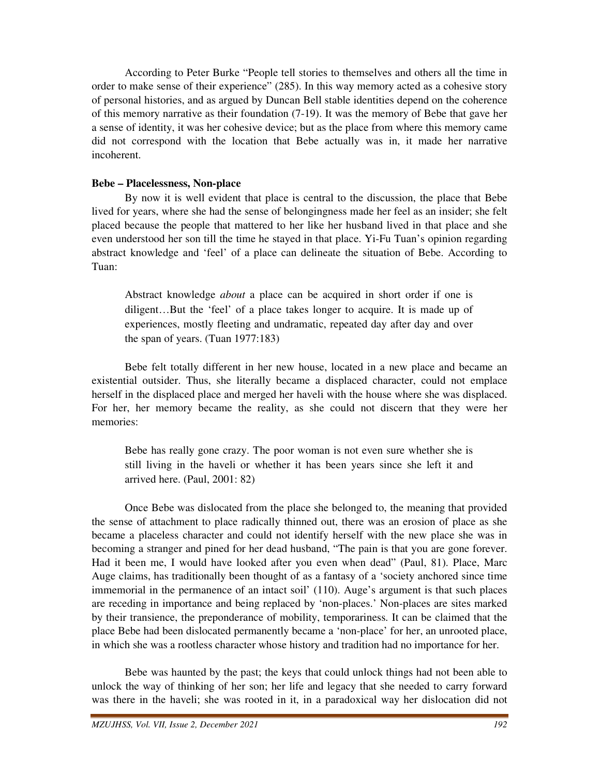According to Peter Burke "People tell stories to themselves and others all the time in order to make sense of their experience" (285). In this way memory acted as a cohesive story of personal histories, and as argued by Duncan Bell stable identities depend on the coherence of this memory narrative as their foundation (7-19). It was the memory of Bebe that gave her a sense of identity, it was her cohesive device; but as the place from where this memory came did not correspond with the location that Bebe actually was in, it made her narrative incoherent.

#### **Bebe – Placelessness, Non-place**

 By now it is well evident that place is central to the discussion, the place that Bebe lived for years, where she had the sense of belongingness made her feel as an insider; she felt placed because the people that mattered to her like her husband lived in that place and she even understood her son till the time he stayed in that place. Yi-Fu Tuan's opinion regarding abstract knowledge and 'feel' of a place can delineate the situation of Bebe. According to Tuan:

Abstract knowledge *about* a place can be acquired in short order if one is diligent…But the 'feel' of a place takes longer to acquire. It is made up of experiences, mostly fleeting and undramatic, repeated day after day and over the span of years. (Tuan 1977:183)

 Bebe felt totally different in her new house, located in a new place and became an existential outsider. Thus, she literally became a displaced character, could not emplace herself in the displaced place and merged her haveli with the house where she was displaced. For her, her memory became the reality, as she could not discern that they were her memories:

Bebe has really gone crazy. The poor woman is not even sure whether she is still living in the haveli or whether it has been years since she left it and arrived here. (Paul, 2001: 82)

 Once Bebe was dislocated from the place she belonged to, the meaning that provided the sense of attachment to place radically thinned out, there was an erosion of place as she became a placeless character and could not identify herself with the new place she was in becoming a stranger and pined for her dead husband, "The pain is that you are gone forever. Had it been me, I would have looked after you even when dead" (Paul, 81). Place, Marc Auge claims, has traditionally been thought of as a fantasy of a 'society anchored since time immemorial in the permanence of an intact soil' (110). Auge's argument is that such places are receding in importance and being replaced by 'non-places.' Non-places are sites marked by their transience, the preponderance of mobility, temporariness. It can be claimed that the place Bebe had been dislocated permanently became a 'non-place' for her, an unrooted place, in which she was a rootless character whose history and tradition had no importance for her.

 Bebe was haunted by the past; the keys that could unlock things had not been able to unlock the way of thinking of her son; her life and legacy that she needed to carry forward was there in the haveli; she was rooted in it, in a paradoxical way her dislocation did not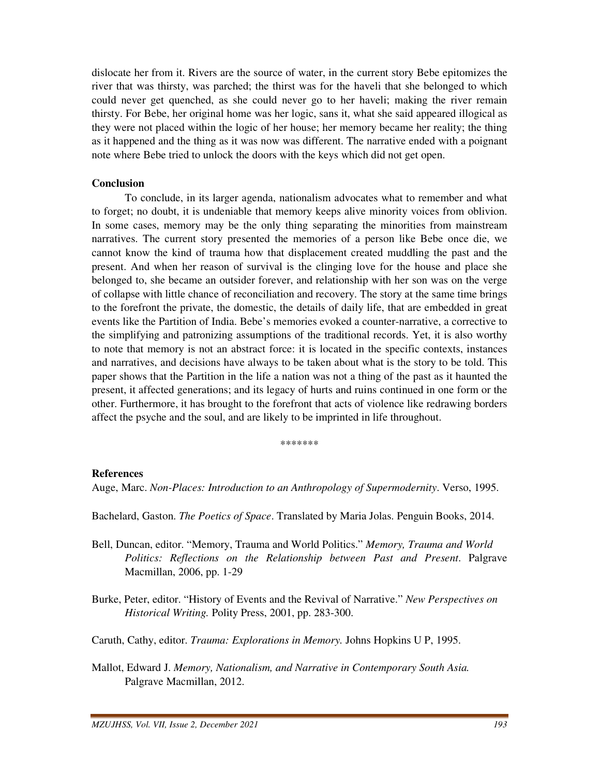dislocate her from it. Rivers are the source of water, in the current story Bebe epitomizes the river that was thirsty, was parched; the thirst was for the haveli that she belonged to which could never get quenched, as she could never go to her haveli; making the river remain thirsty. For Bebe, her original home was her logic, sans it, what she said appeared illogical as they were not placed within the logic of her house; her memory became her reality; the thing as it happened and the thing as it was now was different. The narrative ended with a poignant note where Bebe tried to unlock the doors with the keys which did not get open.

#### **Conclusion**

 To conclude, in its larger agenda, nationalism advocates what to remember and what to forget; no doubt, it is undeniable that memory keeps alive minority voices from oblivion. In some cases, memory may be the only thing separating the minorities from mainstream narratives. The current story presented the memories of a person like Bebe once die, we cannot know the kind of trauma how that displacement created muddling the past and the present. And when her reason of survival is the clinging love for the house and place she belonged to, she became an outsider forever, and relationship with her son was on the verge of collapse with little chance of reconciliation and recovery. The story at the same time brings to the forefront the private, the domestic, the details of daily life, that are embedded in great events like the Partition of India. Bebe's memories evoked a counter-narrative, a corrective to the simplifying and patronizing assumptions of the traditional records. Yet, it is also worthy to note that memory is not an abstract force: it is located in the specific contexts, instances and narratives, and decisions have always to be taken about what is the story to be told. This paper shows that the Partition in the life a nation was not a thing of the past as it haunted the present, it affected generations; and its legacy of hurts and ruins continued in one form or the other. Furthermore, it has brought to the forefront that acts of violence like redrawing borders affect the psyche and the soul, and are likely to be imprinted in life throughout.

\*\*\*\*\*\*\*

#### **References**

Auge, Marc. *Non-Places: Introduction to an Anthropology of Supermodernity*. Verso, 1995.

Bachelard, Gaston. *The Poetics of Space*. Translated by Maria Jolas. Penguin Books, 2014.

- Bell, Duncan, editor. "Memory, Trauma and World Politics." *Memory, Trauma and World Politics: Reflections on the Relationship between Past and Present*. Palgrave Macmillan, 2006, pp. 1-29
- Burke, Peter, editor. "History of Events and the Revival of Narrative." *New Perspectives on Historical Writing.* Polity Press, 2001, pp. 283-300.
- Caruth, Cathy, editor. *Trauma: Explorations in Memory.* Johns Hopkins U P, 1995.
- Mallot, Edward J. *Memory, Nationalism, and Narrative in Contemporary South Asia.*  Palgrave Macmillan, 2012.